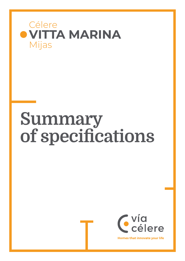



**Homes that innovate your life**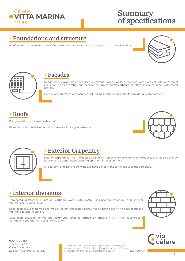

### **• Foundations and structure**

Reinforced concrete with two-way floor structures and/or slabs according to structural calculations.





#### **• Façades**

Rendered brickwork has been used on exterior façade walls, as defined in the project, interior thermal insulation, an air chamber, and panels with laminated plasterboard partitions inside, attached with metal profiles.

Protection of terraces with parapet wall, railings, depending on the façade design combination.

### **• Roofs**

Flat gravel-finish, non-trafficable roof.

Passable roofs finished in non-slip stoneware flooring for exteriors.





#### **• Exterior Carpentry**

Exterior carpentry is PVC. The double glazing with an air chamber significantly reduces the hot-cold energy transfer and exterior noise, ensuring optimum interior comfort.

All bedroom and living room windows have blinds in the same colour as the carpentry.

## **• Interior divisions**

Laminated plasterboard interior partition walls, with metal load-bearing structure and interior thermal-acoustic insulation.

Separation between homes is formed by ceramic brick partitions, lined on both sides with plasterboard and thermal acoustic insulation.

Separation between homes and communal areas is formed by brickwork with inner plasterboard partitioning and thermal-acoustic insulation.





900 10 20 80 viacelere.com Calle Aralia, s/n 29649 Mijas Costa, Málaga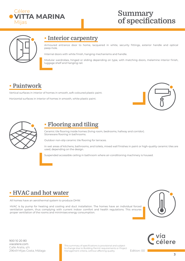



#### **• Interior carpentry**

Armoured entrance door to home, lacquered in white, security fittings, exterior handle and optical peep-hole.

Internal doors with white finish, hanging mechanisms and handle.

Modular wardrobes, hinged or sliding depending on type, with matching doors, melamine interior finish, luggage shelf and hanging rail.

### **• Paintwork**

Vertical surfaces in interior of homes in smooth, soft-coloured plastic paint. Horizontal surfaces in interior of homes in smooth, white plastic paint.





## **• Flooring and tiling**

Ceramic tile flooring inside homes (living room, bedrooms, hallway and corridor). Stoneware flooring in bathrooms.

Outdoor non-slip ceramic tile flooring for terraces.

In wet areas of kitchens, bathrooms, and toilets, mixed wall finishes in paint or high-quality ceramic tiles are used, depending on the design.

Suspended accessible ceiling in bathroom where air-conditioning machinery is housed.

## **• HVAC and hot water**

All homes have an aerothermal system to produce DHW.

HVAC is by pump for heating and cooling and duct installation. The homes have an individual forced ventilation system, thus complying with current indoor comfort and health regulations. This ensures proper ventilation of the rooms and minimises energy consumption.





900 10 20 80 viacelere.com Calle Aralia, s/n 29649 Mijas Costa, Málaga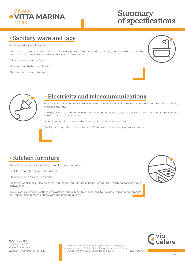

#### **• Sanitary ware and taps**

Sanitary fittings shall be white.

The main bathroom comes with a white washbasin integrated into a vanity unit and the secondary bathroom with a wall-mounted washbasin and mirror in both.

All taps have a chrome finish.

Mixer taps on bathtub and sinks.

Shower thermostat mixer taps.





## **• Electricity and telecommunications**

Electrical installation in accordance with Low Voltage Electrotechnical Regulations. Premium quality electrical fittings.

The installation of in-home telecommunications includes sockets in the living room, bedrooms, and kitchen. Satellite dish pre-installation.

Video intercom for access to the complex and main entrance doors.

Wall light fitting, electrical socket and TV aerial socket on the living room terrace.

## **• Kitchen furniture**

The kitchen is furnished with high and low-level cabinets.

Post-form countertop in working area.

Stainless steel sink and mixer taps.

Electrical appliances: Electric oven, induction hob, extractor hood, refrigerator, washing machine and dishwasher.

This summary of specifications is provisional and subject to change due to Building Permit requirements or Project Management criteria, without affecting quality.